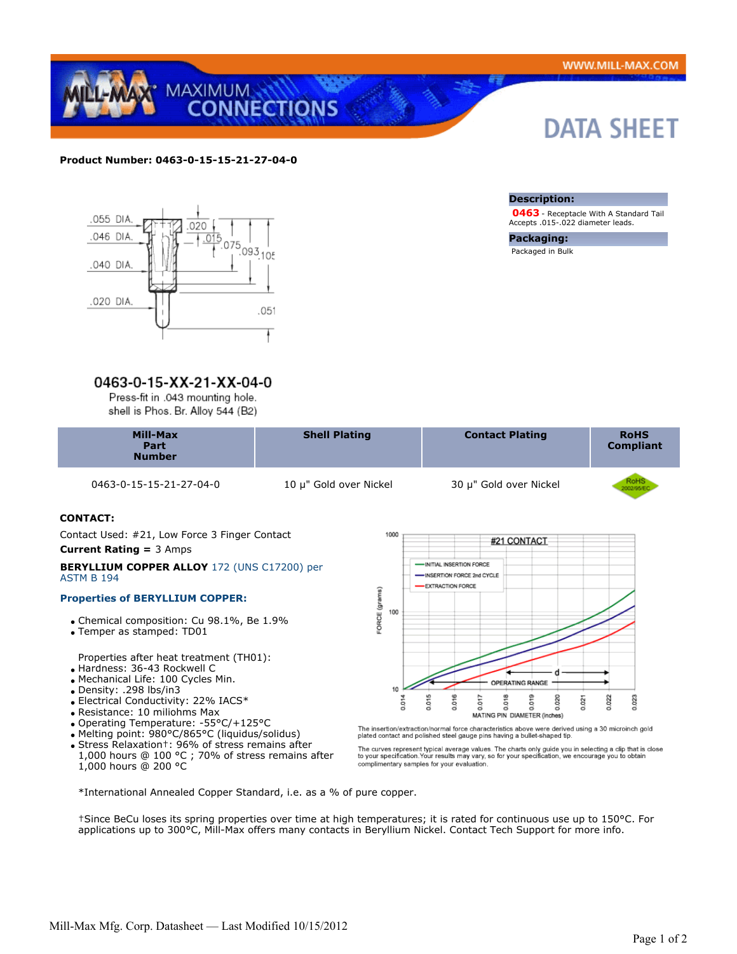

### **Product Number: 0463-0-15-15-21-27-04-0**



# 0463-0-15-XX-21-XX-04-0

Press-fit in .043 mounting hole. shell is Phos. Br. Alloy 544 (B2)

0463-0-15-15-21-27-04-0 10 μ" Gold over Nickel 30 μ" Gold over Nickel

## **CONTACT:**

 Contact Used: #21, Low Force 3 Finger Contact **Current Rating =** 3 Amps

#### **BERYLLIUM COPPER ALLOY** 172 (UNS C17200) per ASTM B 194

#### **Properties of BERYLLIUM COPPER:**

- Chemical composition: Cu 98.1%, Be 1.9%
- Temper as stamped: TD01

Properties after heat treatment (TH01):

- Hardness: 36-43 Rockwell C
- Mechanical Life: 100 Cycles Min.
- Density: .298 lbs/in3
- Electrical Conductivity: 22% IACS\*
- Resistance: 10 miliohms Max
- Operating Temperature: -55°C/+125°C
- Melting point: 980°C/865°C (liquidus/solidus)
- Stress Relaxation†: 96% of stress remains after 1,000 hours @ 100 °C ; 70% of stress remains after 1,000 hours @ 200 °C



The insertion/extraction/normal force characteristics above were derived using a 30 microinch gold plated contact and polished steel gauge pins having a bullet-shaped tip.

The curves represent typical average values. The charts only guide you in selecting a clip that is close<br>to your specification.Your results may vary, so for your specification, we encourage you to obtain<br>complimentary samp

\*International Annealed Copper Standard, i.e. as a % of pure copper.

†Since BeCu loses its spring properties over time at high temperatures; it is rated for continuous use up to 150°C. For applications up to 300°C, Mill-Max offers many contacts in Beryllium Nickel. Contact Tech Support for more info.

### **Description:**

 **0463** - Receptacle With A Standard Tail Accepts .015-.022 diameter leads.

**Packaging:** Packaged in Bulk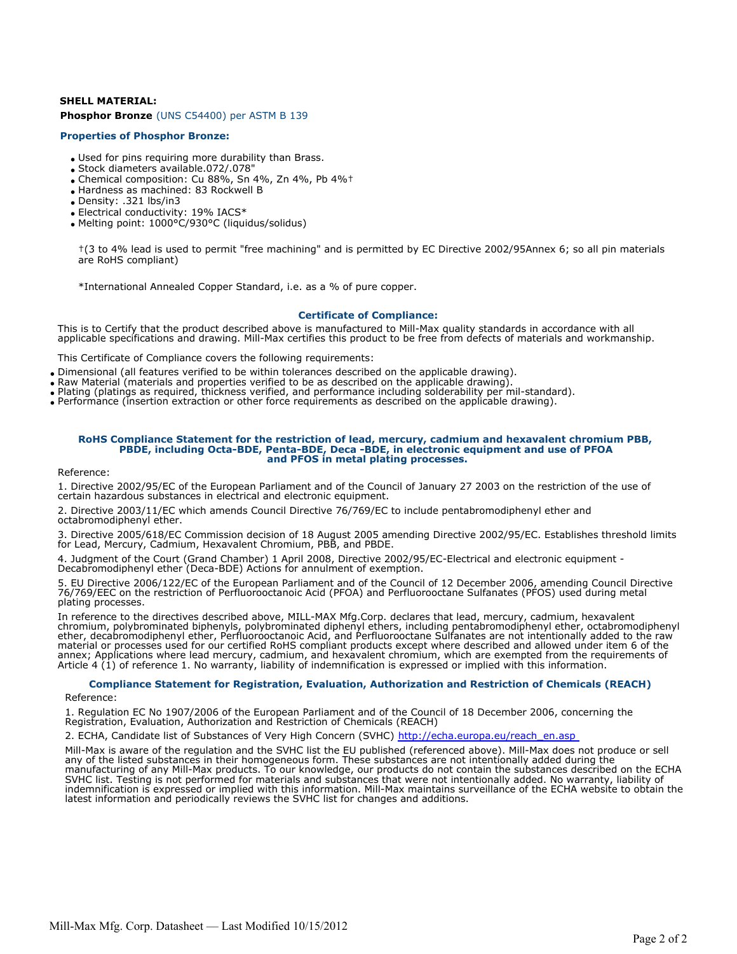# **SHELL MATERIAL: Phosphor Bronze** (UNS C54400) per ASTM B 139

#### **Properties of Phosphor Bronze:**

- Used for pins requiring more durability than Brass.
- Stock diameters available.072/.078"
- Chemical composition: Cu 88%, Sn 4%, Zn 4%, Pb 4%†
- Hardness as machined: 83 Rockwell B
- Density: .321 lbs/in3
- Electrical conductivity: 19% IACS\*
- Melting point: 1000°C/930°C (liquidus/solidus)

†(3 to 4% lead is used to permit "free machining" and is permitted by EC Directive 2002/95Annex 6; so all pin materials are RoHS compliant)

\*International Annealed Copper Standard, i.e. as a % of pure copper.

### **Certificate of Compliance:**

This is to Certify that the product described above is manufactured to Mill-Max quality standards in accordance with all applicable specifications and drawing. Mill-Max certifies this product to be free from defects of materials and workmanship.

This Certificate of Compliance covers the following requirements:

- Dimensional (all features verified to be within tolerances described on the applicable drawing).
- Raw Material (materials and properties verified to be as described on the applicable drawing).
- Plating (platings as required, thickness verified, and performance including solderability per mil-standard).
- Performance (insertion extraction or other force requirements as described on the applicable drawing).

#### **RoHS Compliance Statement for the restriction of lead, mercury, cadmium and hexavalent chromium PBB, PBDE, including Octa-BDE, Penta-BDE, Deca -BDE, in electronic equipment and use of PFOA and PFOS in metal plating processes.**

Reference:

1. Directive 2002/95/EC of the European Parliament and of the Council of January 27 2003 on the restriction of the use of certain hazardous substances in electrical and electronic equipment.

2. Directive 2003/11/EC which amends Council Directive 76/769/EC to include pentabromodiphenyl ether and octabromodiphenyl ether.

3. Directive 2005/618/EC Commission decision of 18 August 2005 amending Directive 2002/95/EC. Establishes threshold limits for Lead, Mercury, Cadmium, Hexavalent Chromium, PBB, and PBDE.

4. Judgment of the Court (Grand Chamber) 1 April 2008, Directive 2002/95/EC-Electrical and electronic equipment - Decabromodiphenyl ether (Deca-BDE) Actions for annulment of exemption.

5. EU Directive 2006/122/EC of the European Parliament and of the Council of 12 December 2006, amending Council Directive 76/769/EEC on the restriction of Perfluorooctanoic Acid (PFOA) and Perfluorooctane Sulfanates (PFOS) used during metal plating processes.

In reference to the directives described above, MILL-MAX Mfg.Corp. declares that lead, mercury, cadmium, hexavalent chromium, polybrominated biphenyls, polybrominated diphenyl ethers, including pentabromodiphenyl ether, octabromodiphenyl ether, decabromodiphenyl ether, Perfluorooctanoic Acid, and Perfluorooctane Sulfanates are not intentionally added to the raw material or processes used for our certified RoHS compliant products except where described and allowed under item 6 of the annex; Applications where lead mercury, cadmium, and hexavalent chromium, which are exempted from the requirements of Article 4 (1) of reference 1. No warranty, liability of indemnification is expressed or implied with this information.

# **Compliance Statement for Registration, Evaluation, Authorization and Restriction of Chemicals (REACH)**

Reference:

1. Regulation EC No 1907/2006 of the European Parliament and of the Council of 18 December 2006, concerning the Registration, Evaluation, Authorization and Restriction of Chemicals (REACH)

2. ECHA, Candidate list of Substances of Very High Concern (SVHC) http://echa.europa.eu/reach\_en.asp

Mill-Max is aware of the regulation and the SVHC list the EU published (referenced above). Mill-Max does not produce or sell any of the listed substances in their homogeneous form. These substances are not intentionally added during the manufacturing of any Mill-Max products. To our knowledge, our products do not contain the substances described on the ECHA SVHC list. Testing is not performed for materials and substances that were not intentionally added. No warranty, liability of indemnification is expressed or implied with this information. Mill-Max maintains surveillance of the ECHA website to obtain the latest information and periodically reviews the SVHC list for changes and additions.